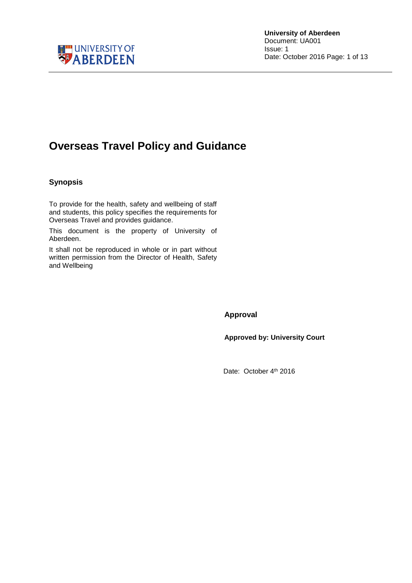

### **Overseas Travel Policy and Guidance**

#### <span id="page-0-0"></span>**Synopsis**

To provide for the health, safety and wellbeing of staff and students, this policy specifies the requirements for Overseas Travel and provides guidance.

This document is the property of University of Aberdeen.

It shall not be reproduced in whole or in part without written permission from the Director of Health, Safety and Wellbeing

<span id="page-0-1"></span>**Approval**

**Approved by: University Court**

Date: October 4<sup>th</sup> 2016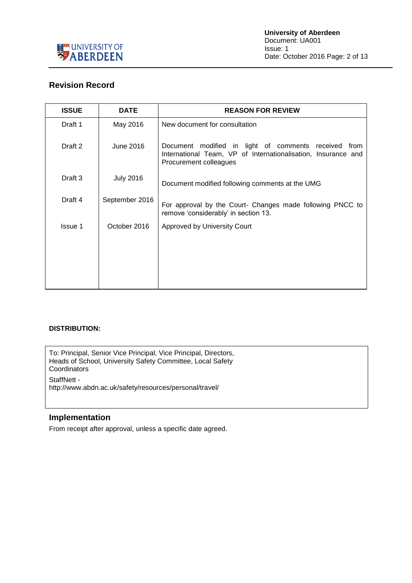

### <span id="page-1-0"></span>**Revision Record**

| <b>ISSUE</b> | <b>DATE</b>      | <b>REASON FOR REVIEW</b>                                                                                                                        |  |  |  |  |  |
|--------------|------------------|-------------------------------------------------------------------------------------------------------------------------------------------------|--|--|--|--|--|
| Draft 1      | May 2016         | New document for consultation                                                                                                                   |  |  |  |  |  |
| Draft 2      | June 2016        | Document modified in light of comments received from<br>International Team, VP of Internationalisation, Insurance and<br>Procurement colleagues |  |  |  |  |  |
| Draft 3      | <b>July 2016</b> | Document modified following comments at the UMG                                                                                                 |  |  |  |  |  |
| Draft 4      | September 2016   | For approval by the Court- Changes made following PNCC to<br>remove 'considerably' in section 13.                                               |  |  |  |  |  |
| Issue 1      | October 2016     | Approved by University Court                                                                                                                    |  |  |  |  |  |
|              |                  |                                                                                                                                                 |  |  |  |  |  |

#### **DISTRIBUTION:**

To: Principal, Senior Vice Principal, Vice Principal, Directors, Heads of School, University Safety Committee, Local Safety **Coordinators** 

StaffNett -

http://www.abdn.ac.uk/safety/resources/personal/travel/

#### <span id="page-1-1"></span>**Implementation**

From receipt after approval, unless a specific date agreed.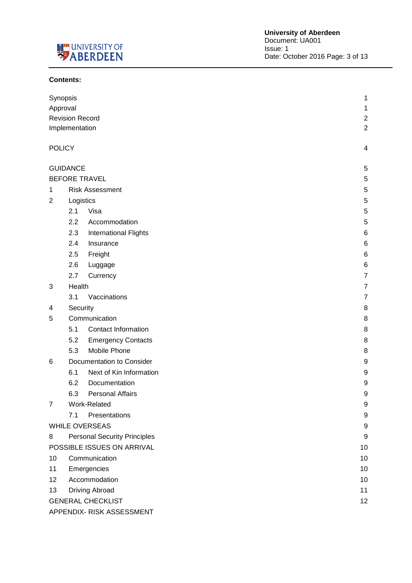

#### **Contents:**

| Synopsis        |                             |                                     | 1                |  |  |  |  |
|-----------------|-----------------------------|-------------------------------------|------------------|--|--|--|--|
| Approval        |                             |                                     | 1                |  |  |  |  |
|                 | <b>Revision Record</b>      |                                     | $\overline{c}$   |  |  |  |  |
|                 | Implementation              |                                     | $\overline{2}$   |  |  |  |  |
|                 |                             |                                     |                  |  |  |  |  |
| <b>POLICY</b>   |                             |                                     | 4                |  |  |  |  |
|                 | <b>GUIDANCE</b>             |                                     | 5                |  |  |  |  |
|                 |                             | <b>BEFORE TRAVEL</b>                | 5                |  |  |  |  |
| 1               |                             | <b>Risk Assessment</b>              | 5                |  |  |  |  |
| 2               | Logistics                   |                                     | $\sqrt{5}$       |  |  |  |  |
|                 | 2.1                         | Visa                                | 5                |  |  |  |  |
|                 | 2.2                         | Accommodation                       | 5                |  |  |  |  |
|                 | 2.3                         | <b>International Flights</b>        | 6                |  |  |  |  |
|                 | 2.4                         | Insurance                           | 6                |  |  |  |  |
|                 | 2.5                         | Freight                             | 6                |  |  |  |  |
|                 | 2.6                         | Luggage                             | 6                |  |  |  |  |
|                 | 2.7                         | Currency                            | $\overline{7}$   |  |  |  |  |
| 3               | Health                      |                                     | 7                |  |  |  |  |
|                 | 3.1                         | Vaccinations                        | $\overline{7}$   |  |  |  |  |
| 4               | Security                    |                                     | 8                |  |  |  |  |
| 5               |                             | Communication                       | 8                |  |  |  |  |
|                 | 5.1                         | <b>Contact Information</b>          | 8                |  |  |  |  |
|                 | 5.2                         | <b>Emergency Contacts</b>           | 8                |  |  |  |  |
|                 | 5.3                         | Mobile Phone                        | 8                |  |  |  |  |
| 6               |                             | Documentation to Consider           | 9                |  |  |  |  |
|                 | 6.1                         | Next of Kin Information             | 9                |  |  |  |  |
|                 | 6.2                         | Documentation                       | 9                |  |  |  |  |
|                 | 6.3                         | <b>Personal Affairs</b>             | 9                |  |  |  |  |
| 7               |                             | Work-Related                        | 9                |  |  |  |  |
|                 | 7.1                         | Presentations                       | 9                |  |  |  |  |
|                 |                             | <b>WHILE OVERSEAS</b>               | 9                |  |  |  |  |
| 8               |                             | <b>Personal Security Principles</b> | $\boldsymbol{9}$ |  |  |  |  |
|                 |                             | POSSIBLE ISSUES ON ARRIVAL          | 10               |  |  |  |  |
| 10 <sub>1</sub> |                             | Communication                       | 10               |  |  |  |  |
| 11              |                             | Emergencies                         | 10               |  |  |  |  |
| 12 <sub>2</sub> |                             | Accommodation                       | 10               |  |  |  |  |
| 13              | <b>Driving Abroad</b><br>11 |                                     |                  |  |  |  |  |
|                 |                             | <b>GENERAL CHECKLIST</b>            | 12               |  |  |  |  |
|                 |                             |                                     |                  |  |  |  |  |

APPENDIX- RISK ASSESSMENT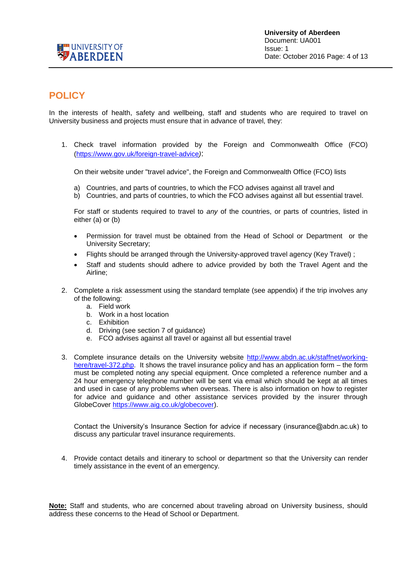

### <span id="page-3-0"></span>**POLICY**

In the interests of health, safety and wellbeing, staff and students who are required to travel on University business and projects must ensure that in advance of travel, they:

1. Check travel information provided by the Foreign and Commonwealth Office (FCO) [\(https://www.gov.uk/foreign-travel-advice](https://www.gov.uk/foreign-travel-advice)*)*:

On their website under "travel advice", the Foreign and Commonwealth Office (FCO) lists

- a) Countries, and parts of countries, to which the FCO advises against all travel and
- b) Countries, and parts of countries, to which the FCO advises against all but essential travel.

For staff or students required to travel to *any* of the countries, or parts of countries, listed in either (a) or (b)

- Permission for travel must be obtained from the Head of School or Department or the University Secretary;
- Flights should be arranged through the University-approved travel agency (Key Travel) ;
- Staff and students should adhere to advice provided by both the Travel Agent and the Airline;
- 2. Complete a risk assessment using the standard template (see appendix) if the trip involves any of the following:
	- a. Field work
	- b. Work in a host location
	- c. Exhibition
	- d. Driving (see section 7 of guidance)
	- e. FCO advises against all travel or against all but essential travel
- 3. Complete insurance details on the University website [http://www.abdn.ac.uk/staffnet/working](http://www.abdn.ac.uk/staffnet/working-here/travel-372.php)[here/travel-372.php.](http://www.abdn.ac.uk/staffnet/working-here/travel-372.php) It shows the travel insurance policy and has an application form – the form must be completed noting any special equipment. Once completed a reference number and a 24 hour emergency telephone number will be sent via email which should be kept at all times and used in case of any problems when overseas. There is also information on how to register for advice and guidance and other assistance services provided by the insurer through GlobeCover [https://www.aig.co.uk/globecover\)](https://www.aig.co.uk/globecover).

Contact the University's Insurance Section for advice if necessary (insurance@abdn.ac.uk) to discuss any particular travel insurance requirements.

4. Provide contact details and itinerary to school or department so that the University can render timely assistance in the event of an emergency.

**Note:** Staff and students, who are concerned about traveling abroad on University business, should address these concerns to the Head of School or Department.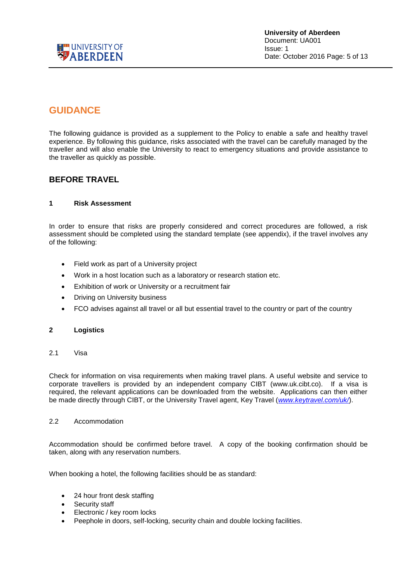

### <span id="page-4-0"></span>**GUIDANCE**

The following guidance is provided as a supplement to the Policy to enable a safe and healthy travel experience. By following this guidance, risks associated with the travel can be carefully managed by the traveller and will also enable the University to react to emergency situations and provide assistance to the traveller as quickly as possible.

### <span id="page-4-1"></span>**BEFORE TRAVEL**

#### <span id="page-4-2"></span>**1 Risk Assessment**

In order to ensure that risks are properly considered and correct procedures are followed, a risk assessment should be completed using the standard template (see appendix), if the travel involves any of the following:

- Field work as part of a University project
- Work in a host location such as a laboratory or research station etc.
- Exhibition of work or University or a recruitment fair
- Driving on University business
- FCO advises against all travel or all but essential travel to the country or part of the country

#### <span id="page-4-3"></span>**2 Logistics**

<span id="page-4-4"></span>2.1 Visa

Check for information on visa requirements when making travel plans. A useful website and service to corporate travellers is provided by an independent company CIBT (www.uk.cibt.co). If a visa is required, the relevant applications can be downloaded from the website. Applications can then either be made directly through CIBT, or the University Travel agent, Key Travel (*[www.keytravel.com/uk/](http://www.keytravel.com/uk/)*).

#### <span id="page-4-5"></span>2.2 Accommodation

Accommodation should be confirmed before travel. A copy of the booking confirmation should be taken, along with any reservation numbers.

When booking a hotel, the following facilities should be as standard:

- 24 hour front desk staffing
- Security staff
- Electronic / key room locks
- Peephole in doors, self-locking, security chain and double locking facilities.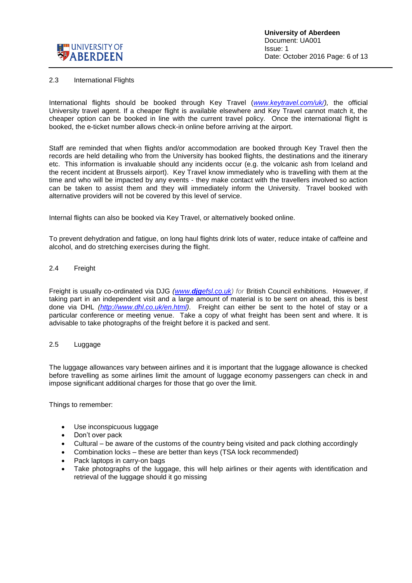

#### <span id="page-5-0"></span>2.3 International Flights

International flights should be booked through Key Travel (*[www.keytravel.com/uk/\)](http://www.keytravel.com/uk/),* the official University travel agent. If a cheaper flight is available elsewhere and Key Travel cannot match it, the cheaper option can be booked in line with the current travel policy. Once the international flight is booked, the e-ticket number allows check-in online before arriving at the airport.

Staff are reminded that when flights and/or accommodation are booked through Key Travel then the records are held detailing who from the University has booked flights, the destinations and the itinerary etc. This information is invaluable should any incidents occur (e.g. the volcanic ash from Iceland and the recent incident at Brussels airport). Key Travel know immediately who is travelling with them at the time and who will be impacted by any events - they make contact with the travellers involved so action can be taken to assist them and they will immediately inform the University. Travel booked with alternative providers will not be covered by this level of service.

Internal flights can also be booked via Key Travel, or alternatively booked online.

To prevent dehydration and fatigue, on long haul flights drink lots of water, reduce intake of caffeine and alcohol, and do stretching exercises during the flight.

#### <span id="page-5-1"></span>2.4 Freight

Freight is usually co-ordinated via DJG *(www.djg[efsl.co.uk\)](http://www.djgefsl.co.uk/) for* British Council exhibitions. However, if taking part in an independent visit and a large amount of material is to be sent on ahead, this is best done via DHL *[\(http://www.dhl.co.uk/en.html\)](http://www.dhl.co.uk/en.html)*. Freight can either be sent to the hotel of stay or a particular conference or meeting venue. Take a copy of what freight has been sent and where. It is advisable to take photographs of the freight before it is packed and sent.

#### <span id="page-5-2"></span>2.5 Luggage

The luggage allowances vary between airlines and it is important that the luggage allowance is checked before travelling as some airlines limit the amount of luggage economy passengers can check in and impose significant additional charges for those that go over the limit.

Things to remember:

- Use inconspicuous luggage
- Don't over pack
- Cultural be aware of the customs of the country being visited and pack clothing accordingly
- Combination locks these are better than keys (TSA lock recommended)
- Pack laptops in carry-on bags
- Take photographs of the luggage, this will help airlines or their agents with identification and retrieval of the luggage should it go missing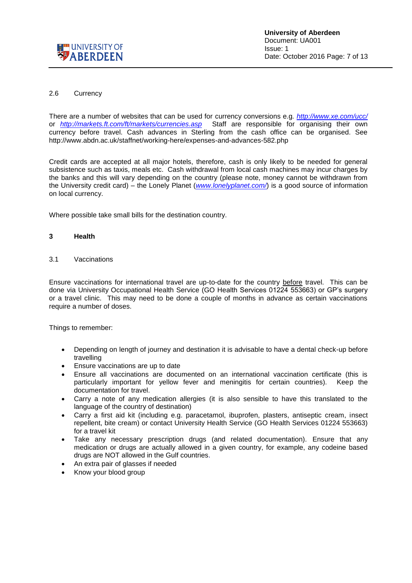

#### <span id="page-6-0"></span>2.6 Currency

There are a number of websites that can be used for currency conversions e.g*.<http://www.xe.com/ucc/>* or *<http://markets.ft.com/ft/markets/currencies.asp>* Staff are responsible for organising their own currency before travel. Cash advances in Sterling from the cash office can be organised. See http://www.abdn.ac.uk/staffnet/working-here/expenses-and-advances-582.php

Credit cards are accepted at all major hotels, therefore, cash is only likely to be needed for general subsistence such as taxis, meals etc. Cash withdrawal from local cash machines may incur charges by the banks and this will vary depending on the country (please note, money cannot be withdrawn from the University credit card) – the Lonely Planet (*[www.lonelyplanet.com/](http://www.lonelyplanet.com/)*) is a good source of information on local currency.

Where possible take small bills for the destination country.

#### <span id="page-6-1"></span>**3 Health**

<span id="page-6-2"></span>3.1 Vaccinations

Ensure vaccinations for international travel are up-to-date for the country before travel. This can be done via University Occupational Health Service (GO Health Services 01224 553663) or GP's surgery or a travel clinic. This may need to be done a couple of months in advance as certain vaccinations require a number of doses.

Things to remember:

- Depending on length of journey and destination it is advisable to have a dental check-up before travelling
- Ensure vaccinations are up to date
- Ensure all vaccinations are documented on an international vaccination certificate (this is particularly important for yellow fever and meningitis for certain countries). Keep the documentation for travel.
- Carry a note of any medication allergies (it is also sensible to have this translated to the language of the country of destination)
- Carry a first aid kit (including e.g. paracetamol, ibuprofen, plasters, antiseptic cream, insect repellent, bite cream) or contact University Health Service (GO Health Services 01224 553663) for a travel kit
- Take any necessary prescription drugs (and related documentation). Ensure that any medication or drugs are actually allowed in a given country, for example, any codeine based drugs are NOT allowed in the Gulf countries.
- An extra pair of glasses if needed
- Know your blood group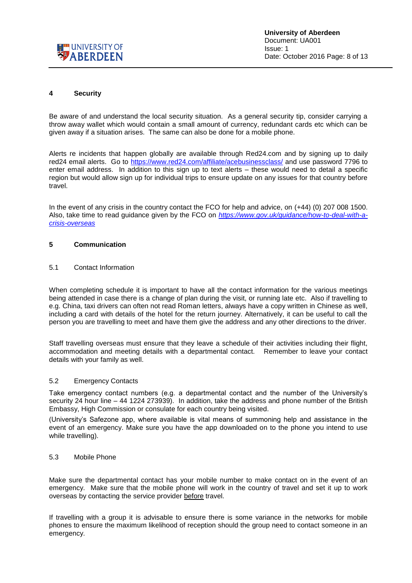

#### <span id="page-7-0"></span>**4 Security**

Be aware of and understand the local security situation. As a general security tip, consider carrying a throw away wallet which would contain a small amount of currency, redundant cards etc which can be given away if a situation arises. The same can also be done for a mobile phone.

Alerts re incidents that happen globally are available through Red24.com and by signing up to daily red24 email alerts. Go to<https://www.red24.com/affiliate/acebusinessclass/> and use password 7796 to enter email address. In addition to this sign up to text alerts – these would need to detail a specific region but would allow sign up for individual trips to ensure update on any issues for that country before travel.

In the event of any crisis in the country contact the FCO for help and advice, on (+44) (0) 207 008 1500. Also, take time to read guidance given by the FCO on *[https://www.gov.uk/guidance/how-to-deal-with-a](https://www.gov.uk/guidance/how-to-deal-with-a-crisis-overseas)[crisis-overseas](https://www.gov.uk/guidance/how-to-deal-with-a-crisis-overseas)*

#### <span id="page-7-1"></span>**5 Communication**

#### <span id="page-7-2"></span>5.1 Contact Information

When completing schedule it is important to have all the contact information for the various meetings being attended in case there is a change of plan during the visit, or running late etc. Also if travelling to e.g. China, taxi drivers can often not read Roman letters, always have a copy written in Chinese as well, including a card with details of the hotel for the return journey. Alternatively, it can be useful to call the person you are travelling to meet and have them give the address and any other directions to the driver.

Staff travelling overseas must ensure that they leave a schedule of their activities including their flight, accommodation and meeting details with a departmental contact. Remember to leave your contact details with your family as well.

#### <span id="page-7-3"></span>5.2 Emergency Contacts

Take emergency contact numbers (e.g. a departmental contact and the number of the University's security 24 hour line – 44 1224 273939). In addition, take the address and phone number of the British Embassy, High Commission or consulate for each country being visited.

(University's Safezone app, where available is vital means of summoning help and assistance in the event of an emergency. Make sure you have the app downloaded on to the phone you intend to use while travelling).

#### <span id="page-7-4"></span>5.3 Mobile Phone

Make sure the departmental contact has your mobile number to make contact on in the event of an emergency. Make sure that the mobile phone will work in the country of travel and set it up to work overseas by contacting the service provider before travel.

If travelling with a group it is advisable to ensure there is some variance in the networks for mobile phones to ensure the maximum likelihood of reception should the group need to contact someone in an emergency.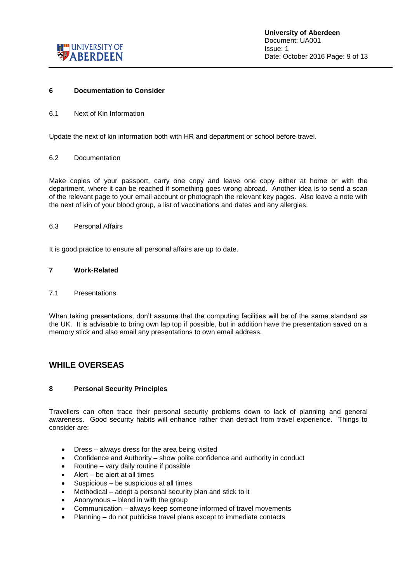

#### <span id="page-8-0"></span>**6 Documentation to Consider**

<span id="page-8-1"></span>6.1 Next of Kin Information

Update the next of kin information both with HR and department or school before travel.

#### <span id="page-8-2"></span>6.2 Documentation

Make copies of your passport, carry one copy and leave one copy either at home or with the department, where it can be reached if something goes wrong abroad. Another idea is to send a scan of the relevant page to your email account or photograph the relevant key pages. Also leave a note with the next of kin of your blood group, a list of vaccinations and dates and any allergies.

#### <span id="page-8-3"></span>6.3 Personal Affairs

It is good practice to ensure all personal affairs are up to date.

#### <span id="page-8-4"></span>**7 Work-Related**

#### <span id="page-8-5"></span>7.1 Presentations

When taking presentations, don't assume that the computing facilities will be of the same standard as the UK. It is advisable to bring own lap top if possible, but in addition have the presentation saved on a memory stick and also email any presentations to own email address.

#### <span id="page-8-6"></span>**WHILE OVERSEAS**

#### <span id="page-8-7"></span>**8 Personal Security Principles**

Travellers can often trace their personal security problems down to lack of planning and general awareness. Good security habits will enhance rather than detract from travel experience. Things to consider are:

- Dress always dress for the area being visited
- Confidence and Authority show polite confidence and authority in conduct
- Routine vary daily routine if possible
- Alert be alert at all times
- Suspicious be suspicious at all times
- Methodical adopt a personal security plan and stick to it
- Anonymous blend in with the group
- Communication always keep someone informed of travel movements
- Planning do not publicise travel plans except to immediate contacts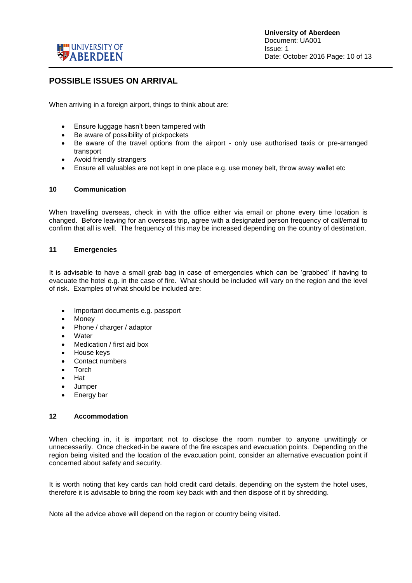

### <span id="page-9-0"></span>**POSSIBLE ISSUES ON ARRIVAL**

When arriving in a foreign airport, things to think about are:

- Ensure luggage hasn't been tampered with
- Be aware of possibility of pickpockets
- Be aware of the travel options from the airport only use authorised taxis or pre-arranged transport
- Avoid friendly strangers
- Ensure all valuables are not kept in one place e.g. use money belt, throw away wallet etc

#### <span id="page-9-1"></span>**10 Communication**

When travelling overseas, check in with the office either via email or phone every time location is changed. Before leaving for an overseas trip, agree with a designated person frequency of call/email to confirm that all is well. The frequency of this may be increased depending on the country of destination.

#### <span id="page-9-2"></span>**11 Emergencies**

It is advisable to have a small grab bag in case of emergencies which can be 'grabbed' if having to evacuate the hotel e.g. in the case of fire. What should be included will vary on the region and the level of risk. Examples of what should be included are:

- Important documents e.g. passport
- Money
- Phone / charger / adaptor
- Water
- Medication / first aid box
- House keys
- Contact numbers
- Torch
- Hat
- **Jumper**
- Energy bar

#### <span id="page-9-3"></span>**12 Accommodation**

When checking in, it is important not to disclose the room number to anyone unwittingly or unnecessarily. Once checked-in be aware of the fire escapes and evacuation points. Depending on the region being visited and the location of the evacuation point, consider an alternative evacuation point if concerned about safety and security.

It is worth noting that key cards can hold credit card details, depending on the system the hotel uses, therefore it is advisable to bring the room key back with and then dispose of it by shredding.

Note all the advice above will depend on the region or country being visited.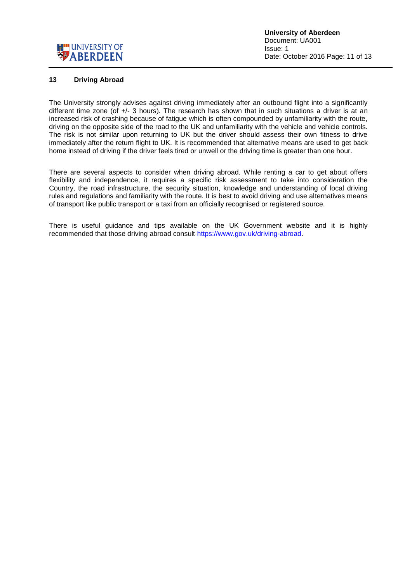

#### <span id="page-10-0"></span>**13 Driving Abroad**

The University strongly advises against driving immediately after an outbound flight into a significantly different time zone (of +/- 3 hours). The research has shown that in such situations a driver is at an increased risk of crashing because of fatigue which is often compounded by unfamiliarity with the route, driving on the opposite side of the road to the UK and unfamiliarity with the vehicle and vehicle controls. The risk is not similar upon returning to UK but the driver should assess their own fitness to drive immediately after the return flight to UK. It is recommended that alternative means are used to get back home instead of driving if the driver feels tired or unwell or the driving time is greater than one hour.

There are several aspects to consider when driving abroad. While renting a car to get about offers flexibility and independence, it requires a specific risk assessment to take into consideration the Country, the road infrastructure, the security situation, knowledge and understanding of local driving rules and regulations and familiarity with the route. It is best to avoid driving and use alternatives means of transport like public transport or a taxi from an officially recognised or registered source.

There is useful guidance and tips available on the UK Government website and it is highly recommended that those driving abroad consult [https://www.gov.uk/driving-abroad.](https://www.gov.uk/driving-abroad)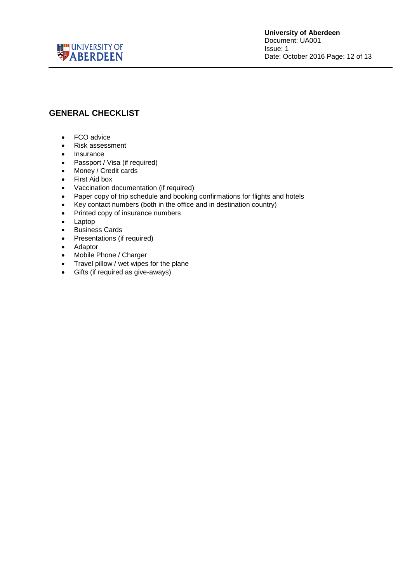

### <span id="page-11-0"></span>**GENERAL CHECKLIST**

- FCO advice
- Risk assessment
- Insurance
- Passport / Visa (if required)
- Money / Credit cards
- First Aid box
- Vaccination documentation (if required)
- Paper copy of trip schedule and booking confirmations for flights and hotels
- Key contact numbers (both in the office and in destination country)
- Printed copy of insurance numbers
- Laptop
- **•** Business Cards
- Presentations (if required)
- Adaptor
- Mobile Phone / Charger
- Travel pillow / wet wipes for the plane
- Gifts (if required as give-aways)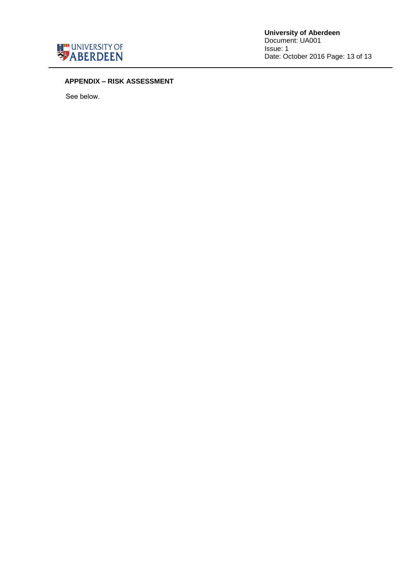

**University of Aberdeen** Document: UA001 Issue: 1 Date: October 2016 Page: 13 of 13

#### **APPENDIX – RISK ASSESSMENT**

See below.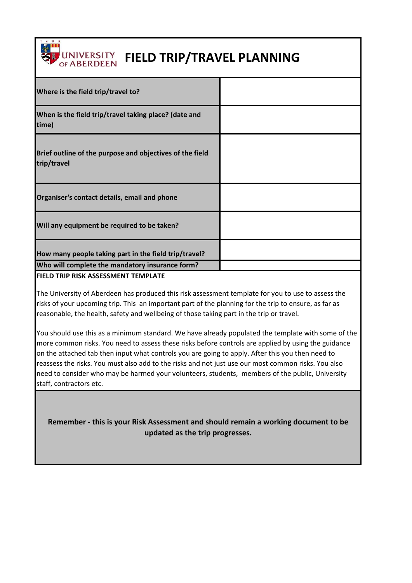

# **UNIVERSITY FIELD TRIP/TRAVEL PLANNING**

| Where is the field trip/travel to?                                      |  |
|-------------------------------------------------------------------------|--|
| When is the field trip/travel taking place? (date and<br>time)          |  |
| Brief outline of the purpose and objectives of the field<br>trip/travel |  |
| Organiser's contact details, email and phone                            |  |
| Will any equipment be required to be taken?                             |  |
| How many people taking part in the field trip/travel?                   |  |
| Who will complete the mandatory insurance form?                         |  |

#### **FIELD TRIP RISK ASSESSMENT TEMPLATE**

The University of Aberdeen has produced this risk assessment template for you to use to assess the risks of your upcoming trip. This an important part of the planning for the trip to ensure, as far as reasonable, the health, safety and wellbeing of those taking part in the trip or travel.

You should use this as a minimum standard. We have already populated the template with some of the more common risks. You need to assess these risks before controls are applied by using the guidance on the attached tab then input what controls you are going to apply. After this you then need to reassess the risks. You must also add to the risks and not just use our most common risks. You also need to consider who may be harmed your volunteers, students, members of the public, University staff, contractors etc.

**Remember - this is your Risk Assessment and should remain a working document to be updated as the trip progresses.**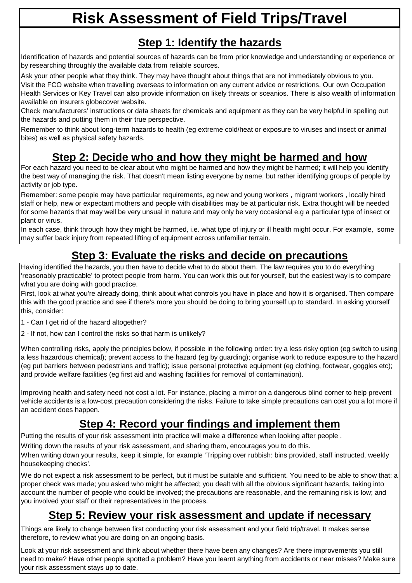# **Risk Assessment of Field Trips/Travel**

## **Step 1: Identify the hazards**

Identification of hazards and potential sources of hazards can be from prior knowledge and understanding or experience or by researching throughly the available data from reliable sources.

Ask your other people what they think. They may have thought about things that are not immediately obvious to you.

Visit the FCO website when travelling overseas to information on any current advice or restrictions. Our own Occupation Health Services or Key Travel can also provide information on likely threats or sceanios. There is also wealth of information available on insurers globecover website.

Check manufacturers' instructions or data sheets for chemicals and equipment as they can be very helpful in spelling out the hazards and putting them in their true perspective.

Remember to think about long-term hazards to health (eg extreme cold/heat or exposure to viruses and insect or animal bites) as well as physical safety hazards.

# **Step 2: Decide who and how they might be harmed and how**

For each hazard you need to be clear about who might be harmed and how they might be harmed; it will help you identify the best way of managing the risk. That doesn't mean listing everyone by name, but rather identifying groups of people by activity or job type.

Remember: some people may have particular requirements, eg new and young workers , migrant workers , locally hired staff or help, new or expectant mothers and people with disabilities may be at particular risk. Extra thought will be needed for some hazards that may well be very unsual in nature and may only be very occasional e.g a particular type of insect or plant or virus.

In each case, think through how they might be harmed, i.e. what type of injury or ill health might occur. For example, some may suffer back injury from repeated lifting of equipment across unfamiliar terrain.

# **Step 3: Evaluate the risks and decide on precautions**

Having identified the hazards, you then have to decide what to do about them. The law requires you to do everything 'reasonably practicable' to protect people from harm. You can work this out for yourself, but the easiest way is to compare what you are doing with good practice.

First, look at what you're already doing, think about what controls you have in place and how it is organised. Then compare this with the good practice and see if there's more you should be doing to bring yourself up to standard. In asking yourself this, consider:

- 1 Can I get rid of the hazard altogether?
- 2 If not, how can I control the risks so that harm is unlikely?

When controlling risks, apply the principles below, if possible in the following order: try a less risky option (eg switch to using a less hazardous chemical); prevent access to the hazard (eg by guarding); organise work to reduce exposure to the hazard (eg put barriers between pedestrians and traffic); issue personal protective equipment (eg clothing, footwear, goggles etc); and provide welfare facilities (eg first aid and washing facilities for removal of contamination).

Improving health and safety need not cost a lot. For instance, placing a mirror on a dangerous blind corner to help prevent vehicle accidents is a low-cost precaution considering the risks. Failure to take simple precautions can cost you a lot more if an accident does happen.

# **Step 4: Record your findings and implement them**

Putting the results of your risk assessment into practice will make a difference when looking after people .

Writing down the results of your risk assessment, and sharing them, encourages you to do this.

When writing down your results, keep it simple, for example 'Tripping over rubbish: bins provided, staff instructed, weekly housekeeping checks'.

We do not expect a risk assessment to be perfect, but it must be suitable and sufficient. You need to be able to show that: a proper check was made; you asked who might be affected; you dealt with all the obvious significant hazards, taking into account the number of people who could be involved; the precautions are reasonable, and the remaining risk is low; and you involved your staff or their representatives in the process.

## **Step 5: Review your risk assessment and update if necessary**

Things are likely to change between first conducting your risk assessment and your field trip/travel. It makes sense therefore, to review what you are doing on an ongoing basis.

Look at your risk assessment and think about whether there have been any changes? Are there improvements you still need to make? Have other people spotted a problem? Have you learnt anything from accidents or near misses? Make sure your risk assessment stays up to date.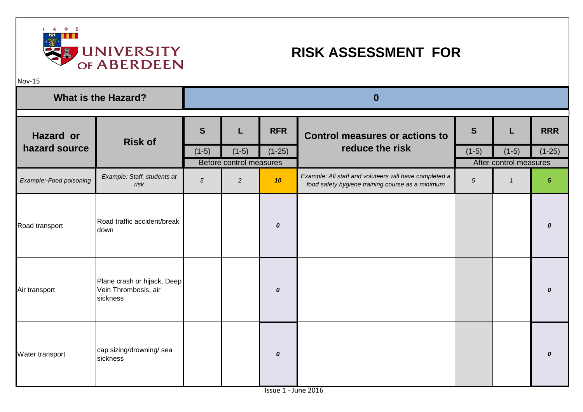

# **RISK ASSESSMENT FOR**

Nov-15

| <b>What is the Hazard?</b> |                                                                 | $\bf{0}$   |                                    |                  |                                                                                                            |            |                                   |                  |  |
|----------------------------|-----------------------------------------------------------------|------------|------------------------------------|------------------|------------------------------------------------------------------------------------------------------------|------------|-----------------------------------|------------------|--|
| <b>Hazard or</b>           | <b>Risk of</b>                                                  | S          | L                                  | <b>RFR</b>       | <b>Control measures or actions to</b>                                                                      | S          |                                   | <b>RRR</b>       |  |
| hazard source              |                                                                 | $(1-5)$    | $(1-5)$<br>Before control measures | $(1-25)$         | reduce the risk                                                                                            | $(1-5)$    | $(1-5)$<br>After control measures | $(1-25)$         |  |
| Example:-Food poisoning    | Example: Staff, students at<br>risk                             | $\sqrt{5}$ | $\sqrt{2}$                         | 10               | Example: All staff and voluteers will have completed a<br>food safety hygiene training course as a minimum | $\sqrt{5}$ | $\mathcal{I}$                     | $\sqrt{5}$       |  |
| Road transport             | Road traffic accident/break<br>down                             |            |                                    | $\boldsymbol{o}$ |                                                                                                            |            |                                   | 0                |  |
| Air transport              | Plane crash or hijack, Deep<br>Vein Thrombosis, air<br>sickness |            |                                    | $\boldsymbol{o}$ |                                                                                                            |            |                                   | 0                |  |
| Water transport            | cap sizing/drowning/ sea<br>sickness                            |            |                                    | $\boldsymbol{o}$ |                                                                                                            |            |                                   | $\boldsymbol{0}$ |  |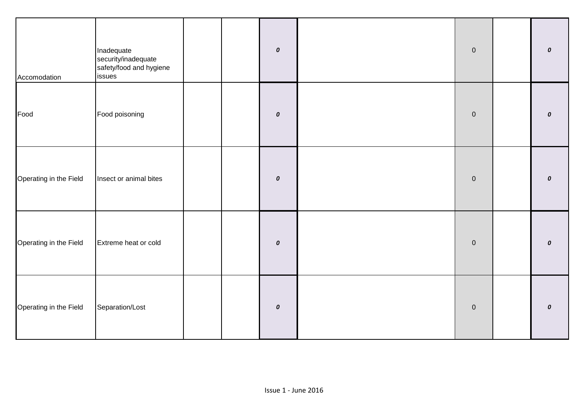| Accomodation           | Inadequate<br>security/inadequate<br>safety/food and hygiene<br>issues |  | $\pmb{o}$ | $\overline{0}$ | 0                  |
|------------------------|------------------------------------------------------------------------|--|-----------|----------------|--------------------|
| Food                   | Food poisoning                                                         |  | $\pmb{o}$ | $\overline{0}$ | $\pmb{\mathit{O}}$ |
| Operating in the Field | Insect or animal bites                                                 |  | $\pmb{o}$ | $\overline{0}$ | 0                  |
| Operating in the Field | Extreme heat or cold                                                   |  | $\pmb{o}$ | $\overline{0}$ | 0                  |
| Operating in the Field | Separation/Lost                                                        |  | $\pmb{o}$ | $\overline{0}$ | 0                  |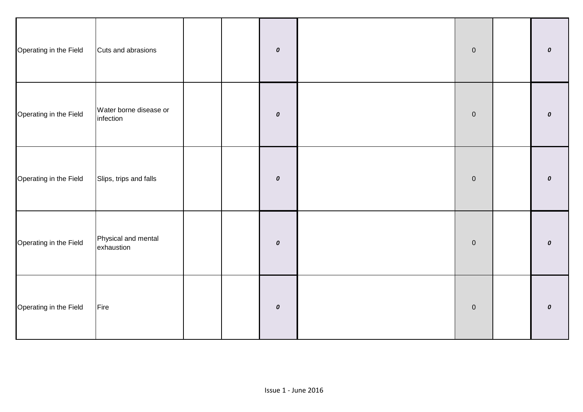| Operating in the Field | Cuts and abrasions                  |  | $\pmb{\mathit{o}}$ | $\overline{0}$ | 0                |
|------------------------|-------------------------------------|--|--------------------|----------------|------------------|
| Operating in the Field | Water borne disease or<br>infection |  | $\pmb{o}$          | $\mathbf 0$    | 0                |
| Operating in the Field | Slips, trips and falls              |  | $\pmb{o}$          | $\pmb{0}$      | $\boldsymbol{o}$ |
| Operating in the Field | Physical and mental<br>exhaustion   |  | $\pmb{o}$          | $\overline{0}$ | $\boldsymbol{o}$ |
| Operating in the Field | Fire                                |  | $\pmb{\mathit{o}}$ | $\overline{0}$ | $\boldsymbol{o}$ |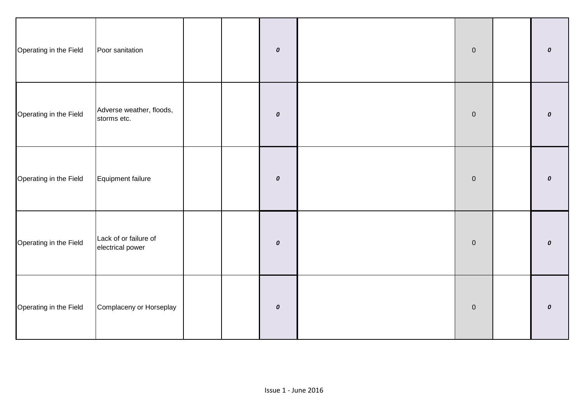| Operating in the Field | Poor sanitation                           |  | $\pmb{\mathit{o}}$ | $\overline{0}$ | 0                |
|------------------------|-------------------------------------------|--|--------------------|----------------|------------------|
| Operating in the Field | Adverse weather, floods,<br>storms etc.   |  | $\pmb{o}$          | $\overline{0}$ | $\pmb{o}$        |
| Operating in the Field | Equipment failure                         |  | $\pmb{o}$          | $\mathbf 0$    | 0                |
| Operating in the Field | Lack of or failure of<br>electrical power |  | $\pmb{o}$          | $\overline{0}$ | 0                |
| Operating in the Field | Complaceny or Horseplay                   |  | $\pmb{\mathit{o}}$ | $\overline{0}$ | $\boldsymbol{o}$ |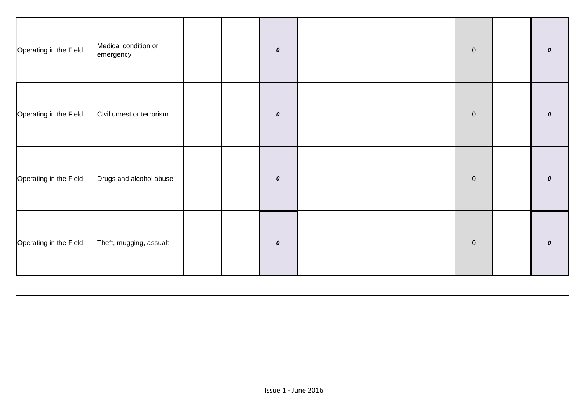| Operating in the Field | Medical condition or<br>emergency |  |  | $\pmb{o}$ |  | $\mathbf 0$ |  | 0 |
|------------------------|-----------------------------------|--|--|-----------|--|-------------|--|---|
| Operating in the Field | Civil unrest or terrorism         |  |  | $\pmb{o}$ |  | $\pmb{0}$   |  | 0 |
| Operating in the Field | Drugs and alcohol abuse           |  |  | $\pmb{o}$ |  | $\mathbf 0$ |  | 0 |
| Operating in the Field | Theft, mugging, assualt           |  |  | $\pmb{o}$ |  | $\mathbf 0$ |  | 0 |
|                        |                                   |  |  |           |  |             |  |   |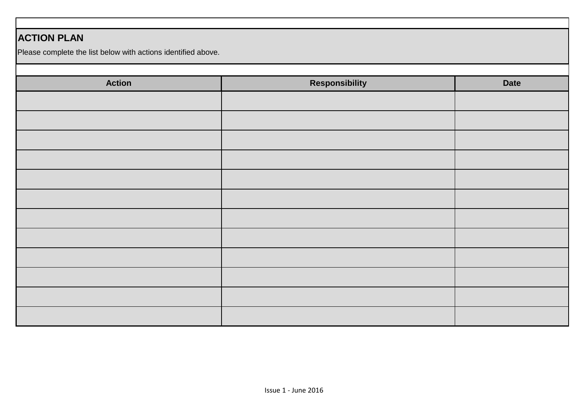### **ACTION PLAN**

Please complete the list below with actions identified above.

| <b>Action</b> | <b>Responsibility</b> | <b>Date</b> |
|---------------|-----------------------|-------------|
|               |                       |             |
|               |                       |             |
|               |                       |             |
|               |                       |             |
|               |                       |             |
|               |                       |             |
|               |                       |             |
|               |                       |             |
|               |                       |             |
|               |                       |             |
|               |                       |             |
|               |                       |             |
|               |                       |             |
|               |                       |             |
|               |                       |             |
|               |                       |             |
|               |                       |             |
|               |                       |             |
|               |                       |             |
|               |                       |             |
|               |                       |             |
|               |                       |             |
|               |                       |             |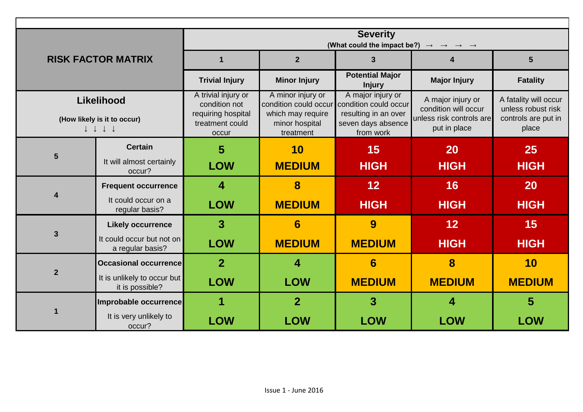|                                                                 |                                                | <b>Severity</b>                                                                     |                                            |                                            |                                                  |                                           |  |  |  |  |
|-----------------------------------------------------------------|------------------------------------------------|-------------------------------------------------------------------------------------|--------------------------------------------|--------------------------------------------|--------------------------------------------------|-------------------------------------------|--|--|--|--|
|                                                                 |                                                | (What could the impact be?) $\rightarrow$ $\rightarrow$ $\rightarrow$ $\rightarrow$ |                                            |                                            |                                                  |                                           |  |  |  |  |
|                                                                 | <b>RISK FACTOR MATRIX</b>                      | 1                                                                                   | 2 <sup>1</sup>                             | $\mathbf{3}$                               | $\overline{\mathbf{4}}$                          | $5\phantom{1}$                            |  |  |  |  |
|                                                                 |                                                | <b>Trivial Injury</b>                                                               | <b>Minor Injury</b>                        | <b>Potential Major</b><br><b>Injury</b>    | <b>Major Injury</b>                              | <b>Fatality</b>                           |  |  |  |  |
|                                                                 | Likelihood                                     | A trivial injury or<br>condition not                                                | A minor injury or<br>condition could occur | A major injury or<br>condition could occur | A major injury or                                | A fatality will occur                     |  |  |  |  |
|                                                                 | (How likely is it to occur)                    | requiring hospital                                                                  | which may require                          | resulting in an over                       | condition will occur<br>unless risk controls are | unless robust risk<br>controls are put in |  |  |  |  |
| $\downarrow \  \  \downarrow \  \  \downarrow \  \  \downarrow$ |                                                | treatment could<br>occur                                                            | minor hospital<br>treatment                | seven days absence<br>from work            | put in place                                     | place                                     |  |  |  |  |
|                                                                 | <b>Certain</b>                                 | 5                                                                                   | 10                                         | 15                                         | 20                                               | 25                                        |  |  |  |  |
| $5\phantom{1}$                                                  | It will almost certainly<br>occur?             | <b>LOW</b>                                                                          | <b>MEDIUM</b>                              | <b>HIGH</b>                                | <b>HIGH</b>                                      | <b>HIGH</b>                               |  |  |  |  |
|                                                                 | <b>Frequent occurrence</b>                     | 4                                                                                   | 8                                          | 12                                         | 16                                               | <b>20</b>                                 |  |  |  |  |
|                                                                 | It could occur on a<br>regular basis?          | <b>LOW</b>                                                                          | <b>MEDIUM</b>                              | <b>HIGH</b>                                | <b>HIGH</b>                                      | <b>HIGH</b>                               |  |  |  |  |
|                                                                 | <b>Likely occurrence</b>                       | $\overline{3}$                                                                      | 6                                          | 9                                          | 12                                               | 15                                        |  |  |  |  |
| $\mathbf{3}$                                                    | It could occur but not on<br>a regular basis?  | <b>LOW</b>                                                                          | <b>MEDIUM</b>                              | <b>MEDIUM</b>                              | <b>HIGH</b>                                      | <b>HIGH</b>                               |  |  |  |  |
|                                                                 | <b>Occasional occurrence</b>                   | $\overline{2}$                                                                      | $\overline{\mathbf{4}}$                    | $6\phantom{1}6$                            | 8                                                | 10                                        |  |  |  |  |
| $\overline{2}$                                                  | It is unlikely to occur but<br>it is possible? | <b>LOW</b>                                                                          | <b>LOW</b>                                 | <b>MEDIUM</b>                              | <b>MEDIUM</b>                                    | <b>MEDIUM</b>                             |  |  |  |  |
|                                                                 | Improbable occurrence                          | 1                                                                                   | $\overline{2}$                             | 3                                          | Δ                                                | 5                                         |  |  |  |  |
|                                                                 | It is very unlikely to<br>occur?               | <b>LOW</b>                                                                          | <b>LOW</b>                                 | <b>LOW</b>                                 | <b>LOW</b>                                       | <b>LOW</b>                                |  |  |  |  |